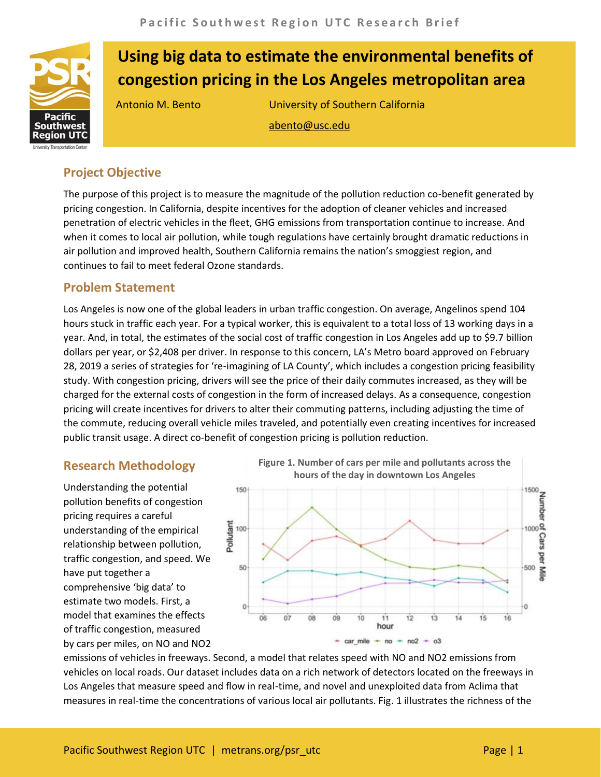

# **Using big data to estimate the environmental benefits of congestion pricing in the Los Angeles metropolitan area**

Antonio M. Bento University of Southern California abento@usc.edu

## **Project Objective**

The purpose of this project is to measure the magnitude of the pollution reduction co-benefit generated by pricing congestion. In California, despite incentives for the adoption of cleaner vehicles and increased penetration of electric vehicles in the fleet, GHG emissions from transportation continue to increase. And when it comes to local air pollution, while tough regulations have certainly brought dramatic reductions in air pollution and improved health, Southern California remains the nation's smoggiest region, and continues to fail to meet federal Ozone standards.

## **Problem Statement**

Los Angeles is now one of the global leaders in urban traffic congestion. On average, Angelinos spend 104 hours stuck in traffic each year. For a typical worker, this is equivalent to a total loss of 13 working days in a year. And, in total, the estimates of the social cost of traffic congestion in Los Angeles add up to \$9.7 billion dollars per year, or \$2,408 per driver. In response to this concern, LA's Metro board approved on February 28, 2019 a series of strategies for 're-imagining of LA County', which includes a congestion pricing feasibility study. With congestion pricing, drivers will see the price of their daily commutes increased, as they will be charged for the external costs of congestion in the form of increased delays. As a consequence, congestion pricing will create incentives for drivers to alter their commuting patterns, including adjusting the time of the commute, reducing overall vehicle miles traveled, and potentially even creating incentives for increased public transit usage. A direct co-benefit of congestion pricing is pollution reduction.

### **Research Methodology**

Understanding the potential pollution benefits of congestion pricing requires a careful understanding of the empirical relationship between pollution, traffic congestion, and speed. We have put together a comprehensive 'big data' to estimate two models. First, a model that examines the effects of traffic congestion, measured by cars per miles, on NO and NO2



emissions of vehicles in freeways. Second, a model that relates speed with NO and NO2 emissions from vehicles on local roads. Our dataset includes data on a rich network of detectors located on the freeways in Los Angeles that measure speed and flow in real-time, and novel and unexploited data from Aclima that measures in real-time the concentrations of various local air pollutants. Fig. 1 illustrates the richness of the